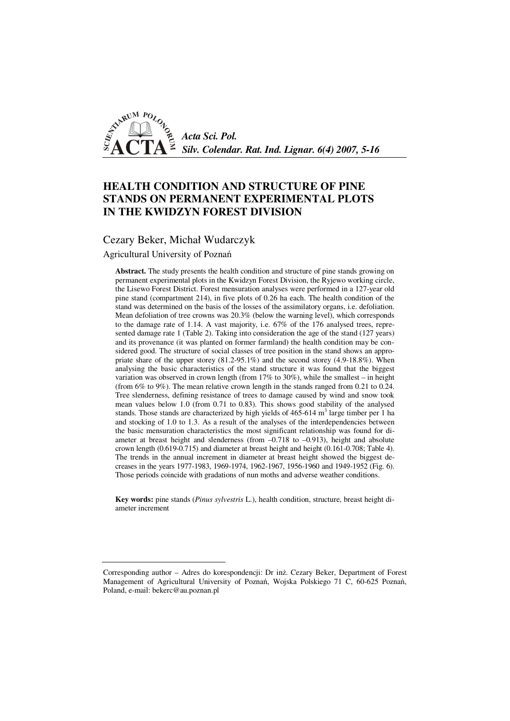

# **HEALTH CONDITION AND STRUCTURE OF PINE STANDS ON PERMANENT EXPERIMENTAL PLOTS IN THE KWIDZYN FOREST DIVISION**

## Cezary Beker, Michał Wudarczyk

Agricultural University of Poznań

**Abstract.** The study presents the health condition and structure of pine stands growing on permanent experimental plots in the Kwidzyn Forest Division, the Ryjewo working circle, the Lisewo Forest District. Forest mensuration analyses were performed in a 127-year old pine stand (compartment 214), in five plots of 0.26 ha each. The health condition of the stand was determined on the basis of the losses of the assimilatory organs, i.e. defoliation. Mean defoliation of tree crowns was 20.3% (below the warning level), which corresponds to the damage rate of 1.14. A vast majority, i.e. 67% of the 176 analysed trees, represented damage rate 1 (Table 2). Taking into consideration the age of the stand (127 years) and its provenance (it was planted on former farmland) the health condition may be considered good. The structure of social classes of tree position in the stand shows an appropriate share of the upper storey (81.2-95.1%) and the second storey (4.9-18.8%). When analysing the basic characteristics of the stand structure it was found that the biggest variation was observed in crown length (from  $17\%$  to  $30\%$ ), while the smallest – in height (from 6% to 9%). The mean relative crown length in the stands ranged from 0.21 to 0.24. Tree slenderness, defining resistance of trees to damage caused by wind and snow took mean values below 1.0 (from 0.71 to 0.83). This shows good stability of the analysed stands. Those stands are characterized by high yields of  $465-614$  m<sup>3</sup> large timber per 1 ha and stocking of 1.0 to 1.3. As a result of the analyses of the interdependencies between the basic mensuration characteristics the most significant relationship was found for diameter at breast height and slenderness (from  $-0.718$  to  $-0.913$ ), height and absolute crown length (0.619-0.715) and diameter at breast height and height (0.161-0.708; Table 4). The trends in the annual increment in diameter at breast height showed the biggest decreases in the years 1977-1983, 1969-1974, 1962-1967, 1956-1960 and 1949-1952 (Fig. 6). Those periods coincide with gradations of nun moths and adverse weather conditions.

**Key words:** pine stands (*Pinus sylvestris* L.), health condition, structure, breast height diameter increment

Corresponding author – Adres do korespondencji: Dr inż. Cezary Beker, Department of Forest Management of Agricultural University of Poznań, Wojska Polskiego 71 C, 60-625 Poznań, Poland, e-mail: bekerc@au.poznan.pl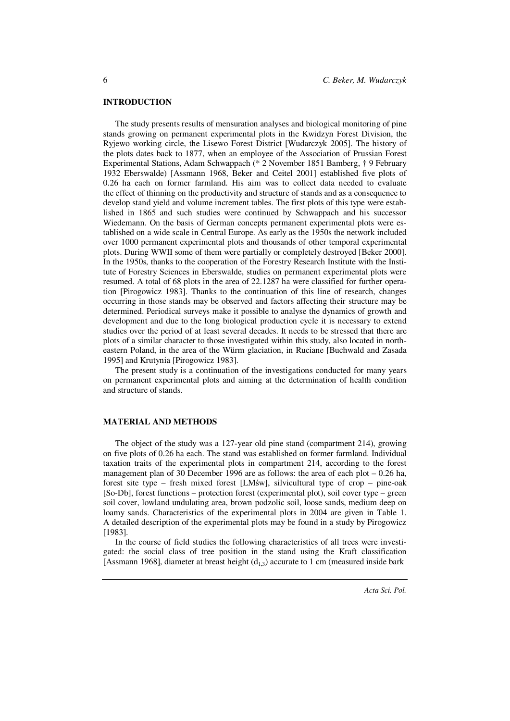#### **INTRODUCTION**

The study presents results of mensuration analyses and biological monitoring of pine stands growing on permanent experimental plots in the Kwidzyn Forest Division, the Ryjewo working circle, the Lisewo Forest District [Wudarczyk 2005]. The history of the plots dates back to 1877, when an employee of the Association of Prussian Forest Experimental Stations, Adam Schwappach (\* 2 November 1851 Bamberg, † 9 February 1932 Eberswalde) [Assmann 1968, Beker and Ceitel 2001] established five plots of 0.26 ha each on former farmland. His aim was to collect data needed to evaluate the effect of thinning on the productivity and structure of stands and as a consequence to develop stand yield and volume increment tables. The first plots of this type were established in 1865 and such studies were continued by Schwappach and his successor Wiedemann. On the basis of German concepts permanent experimental plots were established on a wide scale in Central Europe. As early as the 1950s the network included over 1000 permanent experimental plots and thousands of other temporal experimental plots. During WWII some of them were partially or completely destroyed [Beker 2000]. In the 1950s, thanks to the cooperation of the Forestry Research Institute with the Institute of Forestry Sciences in Eberswalde, studies on permanent experimental plots were resumed. A total of 68 plots in the area of 22.1287 ha were classified for further operation [Pirogowicz 1983]. Thanks to the continuation of this line of research, changes occurring in those stands may be observed and factors affecting their structure may be determined. Periodical surveys make it possible to analyse the dynamics of growth and development and due to the long biological production cycle it is necessary to extend studies over the period of at least several decades. It needs to be stressed that there are plots of a similar character to those investigated within this study, also located in northeastern Poland, in the area of the Würm glaciation, in Ruciane [Buchwald and Zasada 1995] and Krutynia [Pirogowicz 1983].

The present study is a continuation of the investigations conducted for many years on permanent experimental plots and aiming at the determination of health condition and structure of stands.

### **MATERIAL AND METHODS**

The object of the study was a 127-year old pine stand (compartment 214), growing on five plots of 0.26 ha each. The stand was established on former farmland. Individual taxation traits of the experimental plots in compartment 214, according to the forest management plan of 30 December 1996 are as follows: the area of each plot – 0.26 ha, forest site type – fresh mixed forest [LMśw], silvicultural type of crop – pine-oak [So-Db], forest functions – protection forest (experimental plot), soil cover type – green soil cover, lowland undulating area, brown podzolic soil, loose sands, medium deep on loamy sands. Characteristics of the experimental plots in 2004 are given in Table 1. A detailed description of the experimental plots may be found in a study by Pirogowicz [1983].

In the course of field studies the following characteristics of all trees were investigated: the social class of tree position in the stand using the Kraft classification [Assmann 1968], diameter at breast height  $(d_{1,3})$  accurate to 1 cm (measured inside bark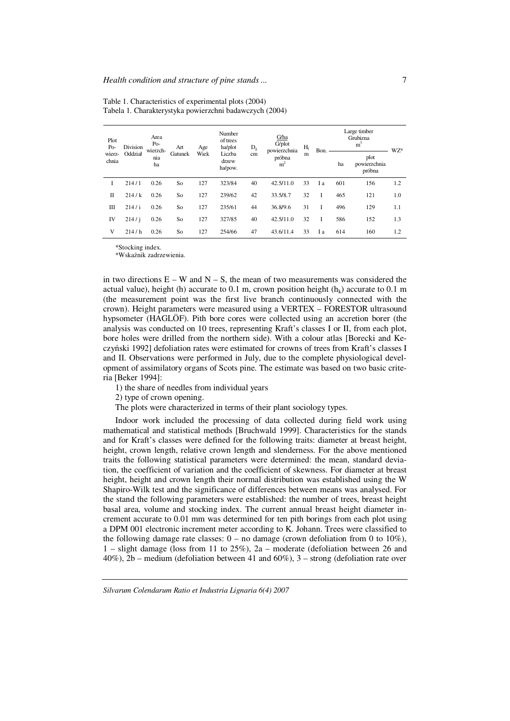| Plot<br>Po-<br>wierz-<br>chnia | Division<br>Oddział | Area<br>$Po-$<br>wierzch-<br>nia<br>ha | Art<br>Gatunek | Age<br>Wiek | Number<br>of trees<br>ha/plot<br>Liczba<br>drzew<br>ha/pow. | $D_{\rm g}$ | G/ha<br>G/plot<br>powierzchnia<br>próbna<br>m <sup>2</sup> | H <sub>1</sub><br>m | Bon. | Large timber<br>Grubizna<br>m <sup>3</sup> |                                | WZ* |
|--------------------------------|---------------------|----------------------------------------|----------------|-------------|-------------------------------------------------------------|-------------|------------------------------------------------------------|---------------------|------|--------------------------------------------|--------------------------------|-----|
|                                |                     |                                        |                |             |                                                             | cm          |                                                            |                     |      | ha                                         | plot<br>powierzchnia<br>próbna |     |
| I                              | 214/1               | 0.26                                   | So             | 127         | 323/84                                                      | 40          | 42.5/11.0                                                  | 33                  | I a  | 601                                        | 156                            | 1.2 |
| $_{\rm II}$                    | 214/k               | 0.26                                   | So             | 127         | 239/62                                                      | 42          | 33.5/8.7                                                   | 32                  | I    | 465                                        | 121                            | 1.0 |
| Ш                              | 214/ i              | 0.26                                   | So             | 127         | 235/61                                                      | 44          | 36.8/9.6                                                   | 31                  | I    | 496                                        | 129                            | 1.1 |
| IV                             | 214/1               | 0.26                                   | So             | 127         | 327/85                                                      | 40          | 42.5/11.0                                                  | 32                  | I    | 586                                        | 152                            | 1.3 |
| V                              | 214/h               | 0.26                                   | So             | 127         | 254/66                                                      | 47          | 43.6/11.4                                                  | 33                  | I a  | 614                                        | 160                            | 1.2 |

Table 1. Characteristics of experimental plots (2004) Tabela 1. Charakterystyka powierzchni badawczych (2004)

\*Stocking index.

\*Wskaźnik zadrzewienia.

in two directions  $E - W$  and  $N - S$ , the mean of two measurements was considered the actual value), height (h) accurate to 0.1 m, crown position height  $(h_k)$  accurate to 0.1 m (the measurement point was the first live branch continuously connected with the crown). Height parameters were measured using a VERTEX – FORESTOR ultrasound hypsometer (HAGLÖF). Pith bore cores were collected using an accretion borer (the analysis was conducted on 10 trees, representing Kraft's classes I or II, from each plot, bore holes were drilled from the northern side). With a colour atlas [Borecki and Keczyński 1992] defoliation rates were estimated for crowns of trees from Kraft's classes I and II. Observations were performed in July, due to the complete physiological development of assimilatory organs of Scots pine. The estimate was based on two basic criteria [Beker 1994]:

1) the share of needles from individual years

2) type of crown opening.

The plots were characterized in terms of their plant sociology types.

Indoor work included the processing of data collected during field work using mathematical and statistical methods [Bruchwald 1999]. Characteristics for the stands and for Kraft's classes were defined for the following traits: diameter at breast height, height, crown length, relative crown length and slenderness. For the above mentioned traits the following statistical parameters were determined: the mean, standard deviation, the coefficient of variation and the coefficient of skewness. For diameter at breast height, height and crown length their normal distribution was established using the W Shapiro-Wilk test and the significance of differences between means was analysed. For the stand the following parameters were established: the number of trees, breast height basal area, volume and stocking index. The current annual breast height diameter increment accurate to 0.01 mm was determined for ten pith borings from each plot using a DPM 001 electronic increment meter according to K. Johann. Trees were classified to the following damage rate classes:  $0 -$  no damage (crown defoliation from 0 to 10%), 1 – slight damage (loss from 11 to 25%), 2a – moderate (defoliation between 26 and  $40\%$ ),  $2b$  – medium (defoliation between 41 and 60%), 3 – strong (defoliation rate over

7

*Silvarum Colendarum Ratio et Industria Lignaria 6(4) 2007*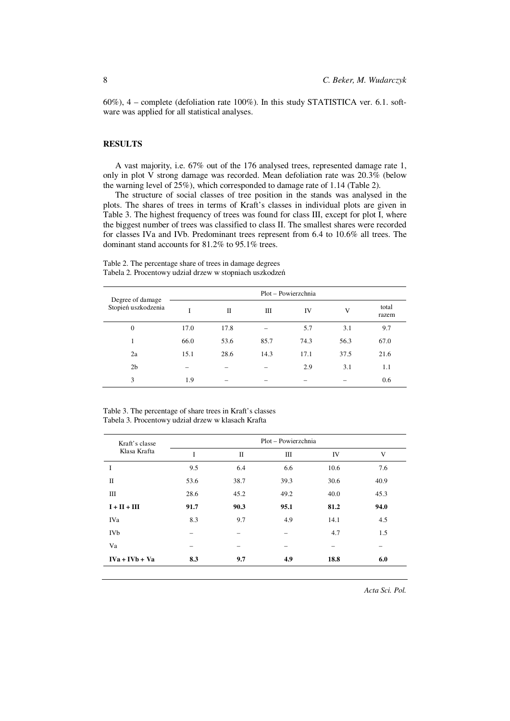60%), 4 – complete (defoliation rate 100%). In this study STATISTICA ver. 6.1. software was applied for all statistical analyses.

## **RESULTS**

A vast majority, i.e. 67% out of the 176 analysed trees, represented damage rate 1, only in plot V strong damage was recorded. Mean defoliation rate was 20.3% (below the warning level of 25%), which corresponded to damage rate of 1.14 (Table 2).

The structure of social classes of tree position in the stands was analysed in the plots. The shares of trees in terms of Kraft's classes in individual plots are given in Table 3. The highest frequency of trees was found for class III, except for plot I, where the biggest number of trees was classified to class II. The smallest shares were recorded for classes IVa and IVb. Predominant trees represent from 6.4 to 10.6% all trees. The dominant stand accounts for 81.2% to 95.1% trees.

Table 2. The percentage share of trees in damage degrees Tabela 2. Procentowy udział drzew w stopniach uszkodzeń

| Degree of damage    | Plot - Powierzchnia |      |      |      |      |                |  |
|---------------------|---------------------|------|------|------|------|----------------|--|
| Stopień uszkodzenia |                     | П    | Ш    | IV   | V    | total<br>razem |  |
| $\mathbf{0}$        | 17.0                | 17.8 |      | 5.7  | 3.1  | 9.7            |  |
| 1                   | 66.0                | 53.6 | 85.7 | 74.3 | 56.3 | 67.0           |  |
| 2a                  | 15.1                | 28.6 | 14.3 | 17.1 | 37.5 | 21.6           |  |
| 2 <sub>b</sub>      |                     |      |      | 2.9  | 3.1  | 1.1            |  |
| 3                   | 1.9                 |      |      |      |      | 0.6            |  |

Table 3. The percentage of share trees in Kraft's classes Tabela 3. Procentowy udział drzew w klasach Krafta

| Kraft's classe   | Plot – Powierzchnia |      |      |      |      |  |  |  |
|------------------|---------------------|------|------|------|------|--|--|--|
| Klasa Krafta     | I                   | П    | Ш    | IV   | V    |  |  |  |
| Ι                | 9.5                 | 6.4  | 6.6  | 10.6 | 7.6  |  |  |  |
| П                | 53.6                | 38.7 | 39.3 | 30.6 | 40.9 |  |  |  |
| Ш                | 28.6                | 45.2 | 49.2 | 40.0 | 45.3 |  |  |  |
| $I + II + III$   | 91.7                | 90.3 | 95.1 | 81.2 | 94.0 |  |  |  |
| IVa              | 8.3                 | 9.7  | 4.9  | 14.1 | 4.5  |  |  |  |
| <b>IVb</b>       |                     |      |      | 4.7  | 1.5  |  |  |  |
| Va               |                     | -    | —    |      |      |  |  |  |
| $IVa + IVb + Va$ | 8.3                 | 9.7  | 4.9  | 18.8 | 6.0  |  |  |  |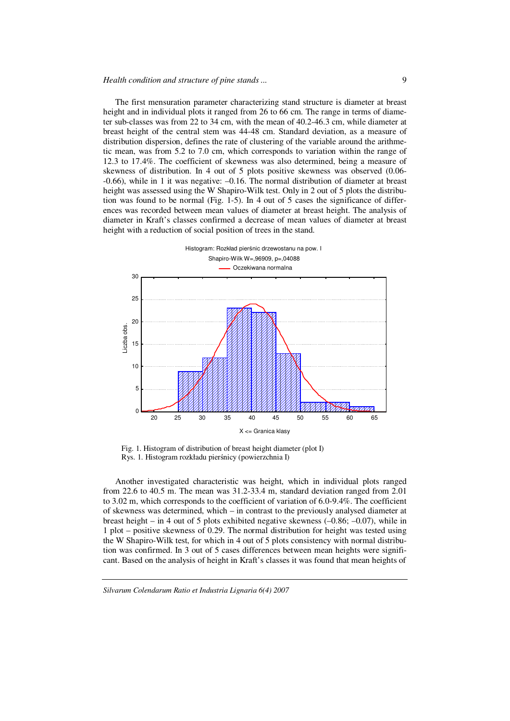The first mensuration parameter characterizing stand structure is diameter at breast height and in individual plots it ranged from 26 to 66 cm. The range in terms of diameter sub-classes was from 22 to 34 cm, with the mean of 40.2-46.3 cm, while diameter at breast height of the central stem was 44-48 cm. Standard deviation, as a measure of distribution dispersion, defines the rate of clustering of the variable around the arithmetic mean, was from 5.2 to 7.0 cm, which corresponds to variation within the range of 12.3 to 17.4%. The coefficient of skewness was also determined, being a measure of skewness of distribution. In 4 out of 5 plots positive skewness was observed (0.06- -0.66), while in 1 it was negative: –0.16. The normal distribution of diameter at breast height was assessed using the W Shapiro-Wilk test. Only in 2 out of 5 plots the distribution was found to be normal (Fig. 1-5). In 4 out of 5 cases the significance of differences was recorded between mean values of diameter at breast height. The analysis of diameter in Kraft's classes confirmed a decrease of mean values of diameter at breast height with a reduction of social position of trees in the stand.



Fig. 1. Histogram of distribution of breast height diameter (plot I) Rys. 1. Histogram rozkładu pierśnicy (powierzchnia I)

Another investigated characteristic was height, which in individual plots ranged from 22.6 to 40.5 m. The mean was 31.2-33.4 m, standard deviation ranged from 2.01 to 3.02 m, which corresponds to the coefficient of variation of 6.0-9.4%. The coefficient of skewness was determined, which – in contrast to the previously analysed diameter at breast height – in 4 out of 5 plots exhibited negative skewness  $(-0.86; -0.07)$ , while in 1 plot – positive skewness of 0.29. The normal distribution for height was tested using the W Shapiro-Wilk test, for which in 4 out of 5 plots consistency with normal distribution was confirmed. In 3 out of 5 cases differences between mean heights were significant. Based on the analysis of height in Kraft's classes it was found that mean heights of

*Silvarum Colendarum Ratio et Industria Lignaria 6(4) 2007*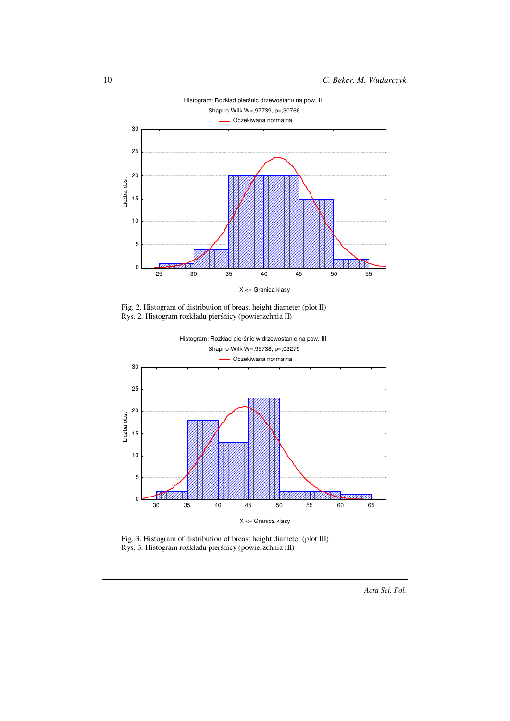

Fig. 2. Histogram of distribution of breast height diameter (plot II) Rys. 2. Histogram rozkładu pierśnicy (powierzchnia II)



Fig. 3. Histogram of distribution of breast height diameter (plot III) Rys. 3. Histogram rozkładu pierśnicy (powierzchnia III)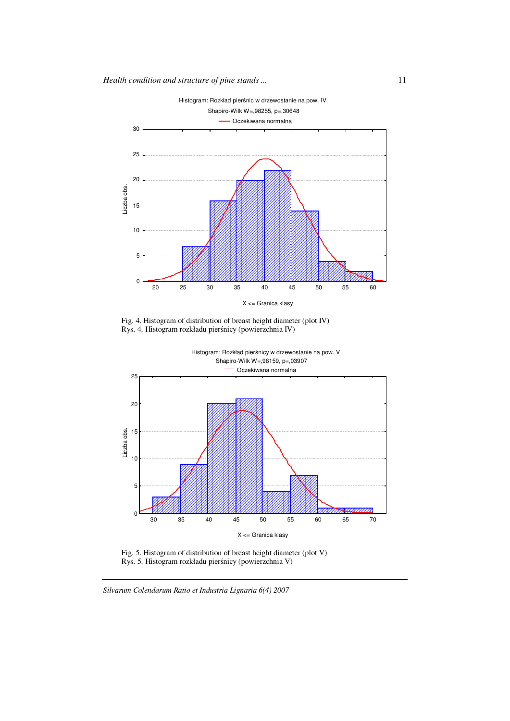

Fig. 4. Histogram of distribution of breast height diameter (plot IV) Rys. 4. Histogram rozkładu pierśnicy (powierzchnia IV)



Fig. 5. Histogram of distribution of breast height diameter (plot V) Rys. 5. Histogram rozkładu pierśnicy (powierzchnia V)

*Silvarum Colendarum Ratio et Industria Lignaria 6(4) 2007*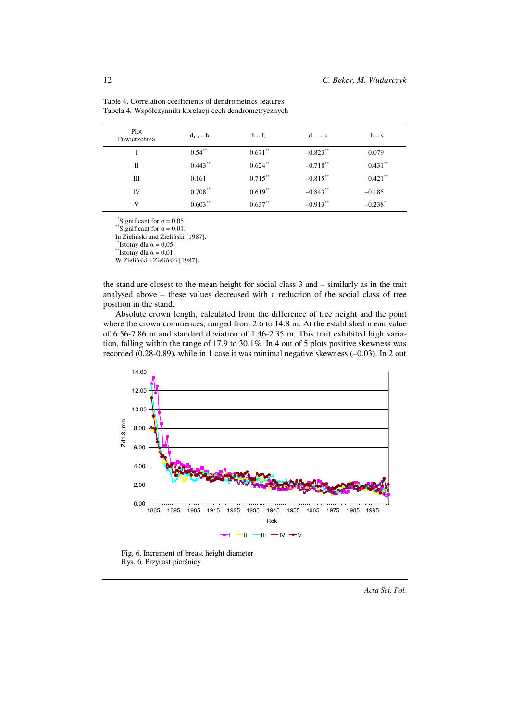| Plot<br>Powierzchnia | $d_{1,3} - h$ | $h - l_k$  | $d_{1,3} - s$ | $h - s$               |
|----------------------|---------------|------------|---------------|-----------------------|
| I                    | $0.54***$     | $0.671***$ | $-0.823***$   | 0.079                 |
| П                    | $0.443***$    | $0.624***$ | $-0.718**$    | $0.431**$             |
| Ш                    | 0.161         | $0.715***$ | $-0.815$ **   | $0.421$ **            |
| IV                   | $0.708***$    | $0.619**$  | $-0.843**$    | $-0.185$              |
| V                    | $0.603***$    | $0.637**$  | $-0.913***$   | $-0.238$ <sup>*</sup> |

Table 4. Correlation coefficients of dendrometrics features Tabela 4. Współczynniki korelacji cech dendrometrycznych

\*Significant for  $\alpha = 0.05$ .

\*\*Significant for  $\alpha$  = 0.01.

In Zieliński and Zieliński [1987].

 $*$ Istotny dla  $\alpha = 0.05$ . \*\*Istotny dla  $\alpha = 0.01$ .

W Zieliński i Zieliński [1987].

the stand are closest to the mean height for social class 3 and – similarly as in the trait analysed above – these values decreased with a reduction of the social class of tree position in the stand.

Absolute crown length, calculated from the difference of tree height and the point where the crown commences, ranged from 2.6 to 14.8 m. At the established mean value of 6.56-7.86 m and standard deviation of 1.46-2.35 m. This trait exhibited high variation, falling within the range of 17.9 to 30.1%. In 4 out of 5 plots positive skewness was recorded (0.28-0.89), while in 1 case it was minimal negative skewness (–0.03). In 2 out



Fig. 6. Increment of breast height diameter Rys. 6. Przyrost pierśnicy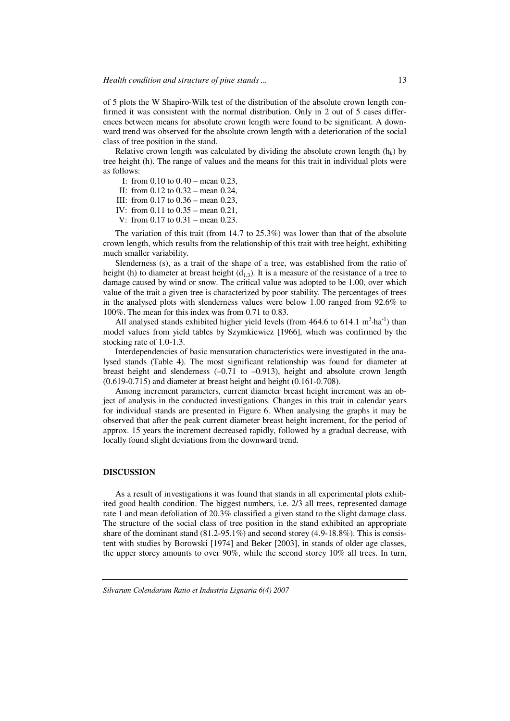of 5 plots the W Shapiro-Wilk test of the distribution of the absolute crown length confirmed it was consistent with the normal distribution. Only in 2 out of 5 cases differences between means for absolute crown length were found to be significant. A downward trend was observed for the absolute crown length with a deterioration of the social class of tree position in the stand.

Relative crown length was calculated by dividing the absolute crown length  $(h_k)$  by tree height (h). The range of values and the means for this trait in individual plots were as follows:

- I: from 0.10 to 0.40 mean 0.23,
- II: from 0.12 to 0.32 mean 0.24,
- III: from 0.17 to 0.36 mean 0.23,
- IV: from 0.11 to 0.35 mean 0.21,
- V: from 0.17 to 0.31 mean 0.23.

The variation of this trait (from 14.7 to 25.3%) was lower than that of the absolute crown length, which results from the relationship of this trait with tree height, exhibiting much smaller variability.

Slenderness (s), as a trait of the shape of a tree, was established from the ratio of height (h) to diameter at breast height  $(d_{1,3})$ . It is a measure of the resistance of a tree to damage caused by wind or snow. The critical value was adopted to be 1.00, over which value of the trait a given tree is characterized by poor stability. The percentages of trees in the analysed plots with slenderness values were below 1.00 ranged from 92.6% to 100%. The mean for this index was from 0.71 to 0.83.

All analysed stands exhibited higher yield levels (from  $464.6$  to  $614.1 \text{ m}^3 \cdot \text{ha}^{-1}$ ) than model values from yield tables by Szymkiewicz [1966], which was confirmed by the stocking rate of 1.0-1.3.

Interdependencies of basic mensuration characteristics were investigated in the analysed stands (Table 4). The most significant relationship was found for diameter at breast height and slenderness  $(-0.71 \text{ to } -0.913)$ , height and absolute crown length  $(0.619-0.715)$  and diameter at breast height and height  $(0.161-0.708)$ .

Among increment parameters, current diameter breast height increment was an object of analysis in the conducted investigations. Changes in this trait in calendar years for individual stands are presented in Figure 6. When analysing the graphs it may be observed that after the peak current diameter breast height increment, for the period of approx. 15 years the increment decreased rapidly, followed by a gradual decrease, with locally found slight deviations from the downward trend.

## **DISCUSSION**

As a result of investigations it was found that stands in all experimental plots exhibited good health condition. The biggest numbers, i.e. 2/3 all trees, represented damage rate 1 and mean defoliation of 20.3% classified a given stand to the slight damage class. The structure of the social class of tree position in the stand exhibited an appropriate share of the dominant stand  $(81.2\n-95.1\%)$  and second storey  $(4.9\n-18.8\%)$ . This is consistent with studies by Borowski [1974] and Beker [2003], in stands of older age classes, the upper storey amounts to over 90%, while the second storey 10% all trees. In turn,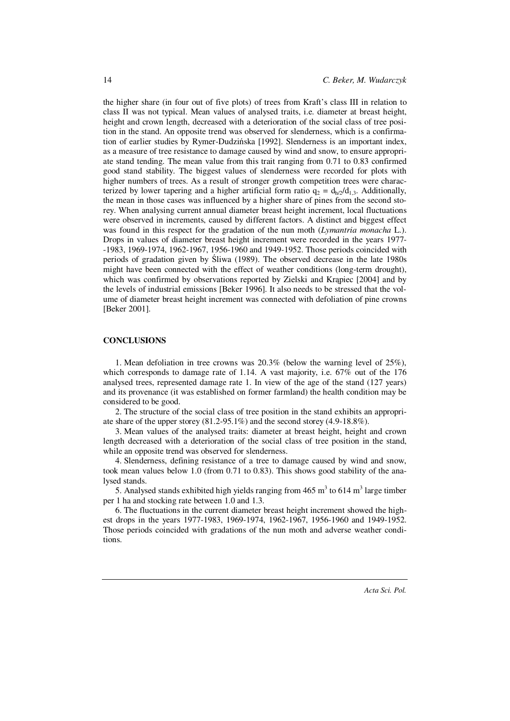the higher share (in four out of five plots) of trees from Kraft's class III in relation to class II was not typical. Mean values of analysed traits, i.e. diameter at breast height, height and crown length, decreased with a deterioration of the social class of tree position in the stand. An opposite trend was observed for slenderness, which is a confirmation of earlier studies by Rymer-Dudzińska [1992]. Slenderness is an important index, as a measure of tree resistance to damage caused by wind and snow, to ensure appropriate stand tending. The mean value from this trait ranging from 0.71 to 0.83 confirmed good stand stability. The biggest values of slenderness were recorded for plots with higher numbers of trees. As a result of stronger growth competition trees were characterized by lower tapering and a higher artificial form ratio  $q_2 = d_{h/2}/d_{1,3}$ . Additionally, the mean in those cases was influenced by a higher share of pines from the second storey. When analysing current annual diameter breast height increment, local fluctuations were observed in increments, caused by different factors. A distinct and biggest effect was found in this respect for the gradation of the nun moth (*Lymantria monacha* L.). Drops in values of diameter breast height increment were recorded in the years 1977- -1983, 1969-1974, 1962-1967, 1956-1960 and 1949-1952. Those periods coincided with periods of gradation given by Śliwa (1989). The observed decrease in the late 1980s might have been connected with the effect of weather conditions (long-term drought), which was confirmed by observations reported by Zielski and Krąpiec [2004] and by the levels of industrial emissions [Beker 1996]. It also needs to be stressed that the volume of diameter breast height increment was connected with defoliation of pine crowns [Beker 2001].

#### **CONCLUSIONS**

1. Mean defoliation in tree crowns was 20.3% (below the warning level of 25%), which corresponds to damage rate of 1.14. A vast majority, i.e.  $67\%$  out of the 176 analysed trees, represented damage rate 1. In view of the age of the stand (127 years) and its provenance (it was established on former farmland) the health condition may be considered to be good.

2. The structure of the social class of tree position in the stand exhibits an appropriate share of the upper storey (81.2-95.1%) and the second storey (4.9-18.8%).

3. Mean values of the analysed traits: diameter at breast height, height and crown length decreased with a deterioration of the social class of tree position in the stand, while an opposite trend was observed for slenderness.

4. Slenderness, defining resistance of a tree to damage caused by wind and snow, took mean values below 1.0 (from 0.71 to 0.83). This shows good stability of the analysed stands.

5. Analysed stands exhibited high yields ranging from  $465 \text{ m}^3$  to  $614 \text{ m}^3$  large timber per 1 ha and stocking rate between 1.0 and 1.3.

6. The fluctuations in the current diameter breast height increment showed the highest drops in the years 1977-1983, 1969-1974, 1962-1967, 1956-1960 and 1949-1952. Those periods coincided with gradations of the nun moth and adverse weather conditions.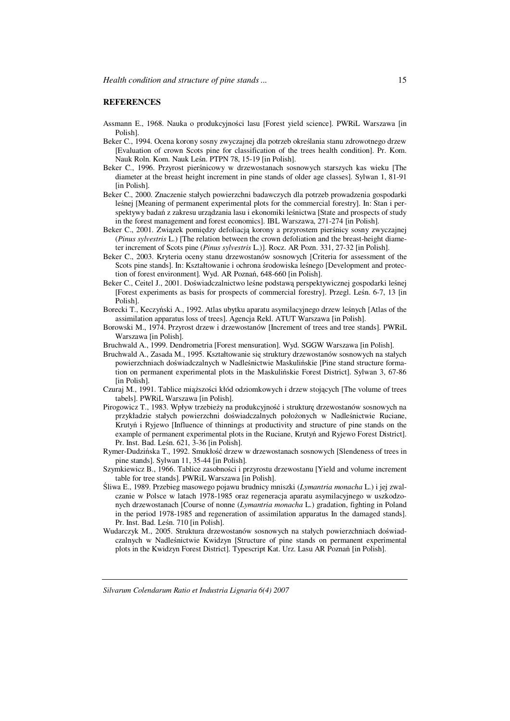#### **REFERENCES**

- Assmann E., 1968. Nauka o produkcyjności lasu [Forest yield science]. PWRiL Warszawa [in Polish].
- Beker C., 1994. Ocena korony sosny zwyczajnej dla potrzeb określania stanu zdrowotnego drzew [Evaluation of crown Scots pine for classification of the trees health condition]. Pr. Kom. Nauk Roln. Kom. Nauk Leśn. PTPN 78, 15-19 [in Polish].
- Beker C., 1996. Przyrost pierśnicowy w drzewostanach sosnowych starszych kas wieku [The diameter at the breast height increment in pine stands of older age classes]. Sylwan 1, 81-91 [in Polish].
- Beker C., 2000. Znaczenie stałych powierzchni badawczych dla potrzeb prowadzenia gospodarki leśnej [Meaning of permanent experimental plots for the commercial forestry]. In: Stan i perspektywy badań z zakresu urządzania lasu i ekonomiki leśnictwa [State and prospects of study in the forest management and forest economics]. IBL Warszawa, 271-274 [in Polish].
- Beker C., 2001. Związek pomiędzy defoliacją korony a przyrostem pierśnicy sosny zwyczajnej (*Pinus sylvestris* L.) [The relation between the crown defoliation and the breast-height diameter increment of Scots pine (*Pinus sylvestris* L.)]. Rocz. AR Pozn. 331, 27-32 [in Polish].
- Beker C., 2003. Kryteria oceny stanu drzewostanów sosnowych [Criteria for assessment of the Scots pine stands]. In: Kształtowanie i ochrona środowiska leśnego [Development and protection of forest environment]. Wyd. AR Poznań, 648-660 [in Polish].
- Beker C., Ceitel J., 2001. Doświadczalnictwo leśne podstawą perspektywicznej gospodarki leśnej [Forest experiments as basis for prospects of commercial forestry]. Przegl. Leśn. 6-7, 13 [in Polish].
- Borecki T., Keczyński A., 1992. Atlas ubytku aparatu asymilacyjnego drzew leśnych [Atlas of the assimilation apparatus loss of trees]. Agencja Rekl. ATUT Warszawa [in Polish].
- Borowski M., 1974. Przyrost drzew i drzewostanów [Increment of trees and tree stands]. PWRiL Warszawa [in Polish].
- Bruchwald A., 1999. Dendrometria [Forest mensuration]. Wyd. SGGW Warszawa [in Polish].
- Bruchwald A., Zasada M., 1995. Kształtowanie się struktury drzewostanów sosnowych na stałych powierzchniach doświadczalnych w Nadleśnictwie Maskulińskie [Pine stand structure formation on permanent experimental plots in the Maskulińskie Forest District]. Sylwan 3, 67-86 [in Polish].
- Czuraj M., 1991. Tablice miąższości kłód odziomkowych i drzew stojących [The volume of trees tabels]. PWRiL Warszawa [in Polish].
- Pirogowicz T., 1983. Wpływ trzebieży na produkcyjność i strukturę drzewostanów sosnowych na przykładzie stałych powierzchni doświadczalnych położonych w Nadleśnictwie Ruciane, Krutyń i Ryjewo [Influence of thinnings at productivity and structure of pine stands on the example of permanent experimental plots in the Ruciane, Krutyń and Ryjewo Forest District]. Pr. Inst. Bad. Leśn. 621, 3-36 [in Polish].
- Rymer-Dudzińska T., 1992. Smukłość drzew w drzewostanach sosnowych [Slendeness of trees in pine stands]. Sylwan 11, 35-44 [in Polish].
- Szymkiewicz B., 1966. Tablice zasobności i przyrostu drzewostanu [Yield and volume increment table for tree stands]. PWRiL Warszawa [in Polish].
- Śliwa E., 1989. Przebieg masowego pojawu brudnicy mniszki (*Lymantria monacha* L.) i jej zwalczanie w Polsce w latach 1978-1985 oraz regeneracja aparatu asymilacyjnego w uszkodzonych drzewostanach [Course of nonne (*Lymantria monacha* L.) gradation, fighting in Poland in the period 1978-1985 and regeneration of assimilation apparatus In the damaged stands]. Pr. Inst. Bad. Leśn. 710 [in Polish].
- Wudarczyk M., 2005. Struktura drzewostanów sosnowych na stałych powierzchniach doświadczalnych w Nadleśnictwie Kwidzyn [Structure of pine stands on permanent experimental plots in the Kwidzyn Forest District]. Typescript Kat. Urz. Lasu AR Poznań [in Polish].

*Silvarum Colendarum Ratio et Industria Lignaria 6(4) 2007*